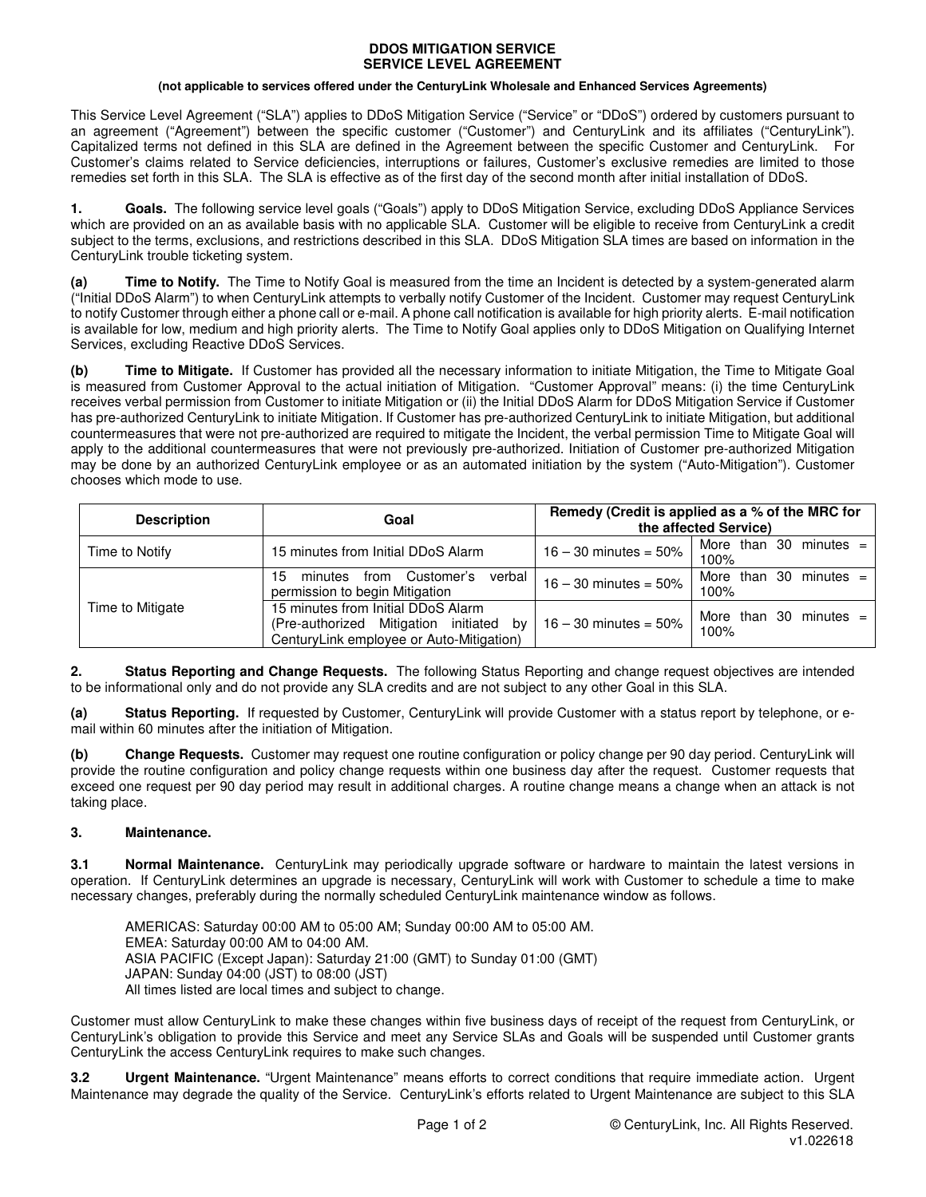#### **DDOS MITIGATION SERVICE SERVICE LEVEL AGREEMENT**

#### **(not applicable to services offered under the CenturyLink Wholesale and Enhanced Services Agreements)**

This Service Level Agreement ("SLA") applies to DDoS Mitigation Service ("Service" or "DDoS") ordered by customers pursuant to an agreement ("Agreement") between the specific customer ("Customer") and CenturyLink and its affiliates ("CenturyLink"). Capitalized terms not defined in this SLA are defined in the Agreement between the specific Customer and CenturyLink. For Customer's claims related to Service deficiencies, interruptions or failures, Customer's exclusive remedies are limited to those remedies set forth in this SLA. The SLA is effective as of the first day of the second month after initial installation of DDoS.

**1. Goals.** The following service level goals ("Goals") apply to DDoS Mitigation Service, excluding DDoS Appliance Services which are provided on an as available basis with no applicable SLA. Customer will be eligible to receive from CenturyLink a credit subject to the terms, exclusions, and restrictions described in this SLA. DDoS Mitigation SLA times are based on information in the CenturyLink trouble ticketing system.

**(a) Time to Notify.** The Time to Notify Goal is measured from the time an Incident is detected by a system-generated alarm ("Initial DDoS Alarm") to when CenturyLink attempts to verbally notify Customer of the Incident. Customer may request CenturyLink to notify Customer through either a phone call or e-mail. A phone call notification is available for high priority alerts. E-mail notification is available for low, medium and high priority alerts. The Time to Notify Goal applies only to DDoS Mitigation on Qualifying Internet Services, excluding Reactive DDoS Services.

**(b) Time to Mitigate.** If Customer has provided all the necessary information to initiate Mitigation, the Time to Mitigate Goal is measured from Customer Approval to the actual initiation of Mitigation. "Customer Approval" means: (i) the time CenturyLink receives verbal permission from Customer to initiate Mitigation or (ii) the Initial DDoS Alarm for DDoS Mitigation Service if Customer has pre-authorized CenturyLink to initiate Mitigation. If Customer has pre-authorized CenturyLink to initiate Mitigation, but additional countermeasures that were not pre-authorized are required to mitigate the Incident, the verbal permission Time to Mitigate Goal will apply to the additional countermeasures that were not previously pre-authorized. Initiation of Customer pre-authorized Mitigation may be done by an authorized CenturyLink employee or as an automated initiation by the system ("Auto-Mitigation"). Customer chooses which mode to use.

| <b>Description</b> | Goal                                                                                                                      | Remedy (Credit is applied as a % of the MRC for<br>the affected Service) |                                     |
|--------------------|---------------------------------------------------------------------------------------------------------------------------|--------------------------------------------------------------------------|-------------------------------------|
| Time to Notify     | 15 minutes from Initial DDoS Alarm                                                                                        | $16 - 30$ minutes = 50%                                                  | More than 30 minutes $=$<br>100%    |
| Time to Mitigate   | Customer's<br>verbal<br>minutes<br>from<br>15<br>permission to begin Mitigation                                           | $16 - 30$ minutes = 50%                                                  | More than 30<br>$minutes =$<br>100% |
|                    | 15 minutes from Initial DDoS Alarm<br>(Pre-authorized Mitigation initiated by<br>CenturyLink employee or Auto-Mitigation) | $16 - 30$ minutes = 50%                                                  | More than 30 minutes $=$<br>100%    |

**2. Status Reporting and Change Requests.** The following Status Reporting and change request objectives are intended to be informational only and do not provide any SLA credits and are not subject to any other Goal in this SLA.

**(a) Status Reporting.** If requested by Customer, CenturyLink will provide Customer with a status report by telephone, or email within 60 minutes after the initiation of Mitigation.

**(b) Change Requests.** Customer may request one routine configuration or policy change per 90 day period. CenturyLink will provide the routine configuration and policy change requests within one business day after the request. Customer requests that exceed one request per 90 day period may result in additional charges. A routine change means a change when an attack is not taking place.

# **3. Maintenance.**

**3.1 Normal Maintenance.** CenturyLink may periodically upgrade software or hardware to maintain the latest versions in operation. If CenturyLink determines an upgrade is necessary, CenturyLink will work with Customer to schedule a time to make necessary changes, preferably during the normally scheduled CenturyLink maintenance window as follows.

AMERICAS: Saturday 00:00 AM to 05:00 AM; Sunday 00:00 AM to 05:00 AM. EMEA: Saturday 00:00 AM to 04:00 AM. ASIA PACIFIC (Except Japan): Saturday 21:00 (GMT) to Sunday 01:00 (GMT) JAPAN: Sunday 04:00 (JST) to 08:00 (JST) All times listed are local times and subject to change.

Customer must allow CenturyLink to make these changes within five business days of receipt of the request from CenturyLink, or CenturyLink's obligation to provide this Service and meet any Service SLAs and Goals will be suspended until Customer grants CenturyLink the access CenturyLink requires to make such changes.

**3.2 Urgent Maintenance.** "Urgent Maintenance" means efforts to correct conditions that require immediate action. Urgent Maintenance may degrade the quality of the Service. CenturyLink's efforts related to Urgent Maintenance are subject to this SLA